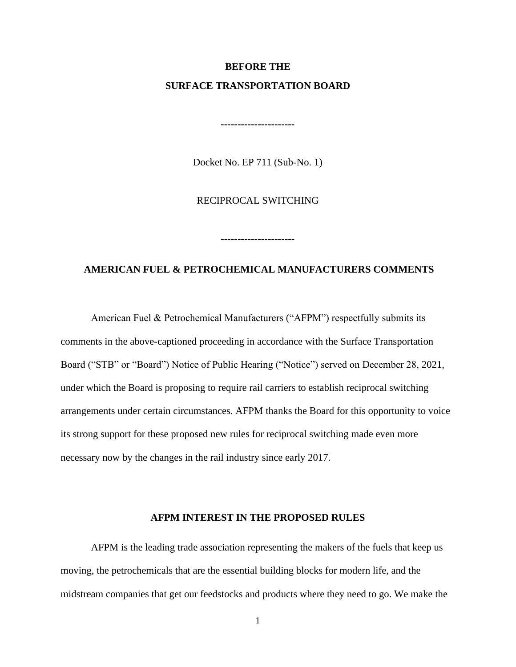# **BEFORE THE SURFACE TRANSPORTATION BOARD**

Docket No. EP 711 (Sub-No. 1)

**----------------------**

RECIPROCAL SWITCHING

# **AMERICAN FUEL & PETROCHEMICAL MANUFACTURERS COMMENTS**

**----------------------**

American Fuel & Petrochemical Manufacturers ("AFPM") respectfully submits its comments in the above-captioned proceeding in accordance with the Surface Transportation Board ("STB" or "Board") Notice of Public Hearing ("Notice") served on December 28, 2021, under which the Board is proposing to require rail carriers to establish reciprocal switching arrangements under certain circumstances. AFPM thanks the Board for this opportunity to voice its strong support for these proposed new rules for reciprocal switching made even more necessary now by the changes in the rail industry since early 2017.

#### **AFPM INTEREST IN THE PROPOSED RULES**

AFPM is the leading trade association representing the makers of the fuels that keep us moving, the petrochemicals that are the essential building blocks for modern life, and the midstream companies that get our feedstocks and products where they need to go. We make the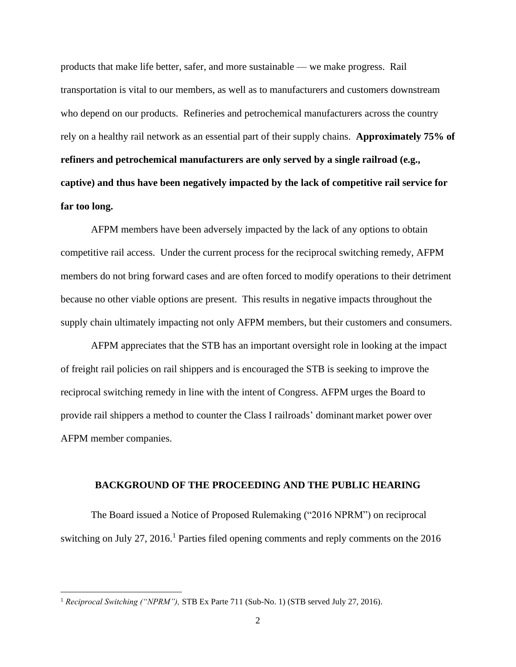products that make life better, safer, and more sustainable — we make progress. Rail transportation is vital to our members, as well as to manufacturers and customers downstream who depend on our products. Refineries and petrochemical manufacturers across the country rely on a healthy rail network as an essential part of their supply chains. **Approximately 75% of refiners and petrochemical manufacturers are only served by a single railroad (e.g., captive) and thus have been negatively impacted by the lack of competitive rail service for far too long.**

AFPM members have been adversely impacted by the lack of any options to obtain competitive rail access. Under the current process for the reciprocal switching remedy, AFPM members do not bring forward cases and are often forced to modify operations to their detriment because no other viable options are present. This results in negative impacts throughout the supply chain ultimately impacting not only AFPM members, but their customers and consumers.

AFPM appreciates that the STB has an important oversight role in looking at the impact of freight rail policies on rail shippers and is encouraged the STB is seeking to improve the reciprocal switching remedy in line with the intent of Congress. AFPM urges the Board to provide rail shippers a method to counter the Class I railroads' dominantmarket power over AFPM member companies.

### **BACKGROUND OF THE PROCEEDING AND THE PUBLIC HEARING**

The Board issued a Notice of Proposed Rulemaking ("2016 NPRM") on reciprocal switching on July 27, 2016.<sup>1</sup> Parties filed opening comments and reply comments on the  $2016$ 

<sup>1</sup> *Reciprocal Switching ("NPRM"),* STB Ex Parte 711 (Sub-No. 1) (STB served July 27, 2016).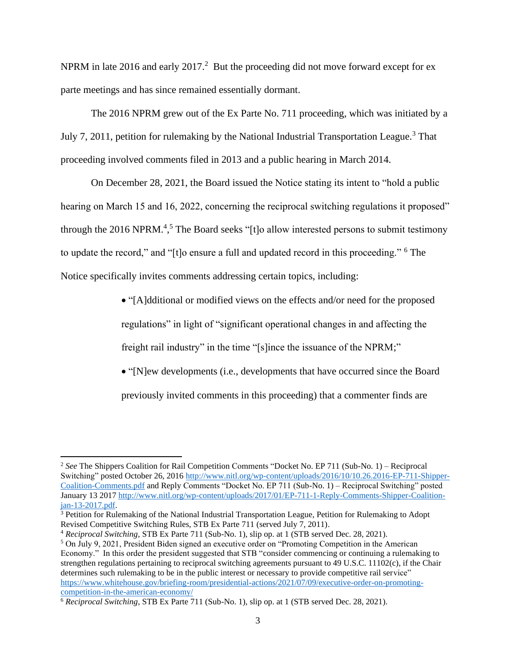NPRM in late 2016 and early 2017.<sup>2</sup> But the proceeding did not move forward except for ex parte meetings and has since remained essentially dormant.

The 2016 NPRM grew out of the Ex Parte No. 711 proceeding, which was initiated by a July 7, 2011, petition for rulemaking by the National Industrial Transportation League.<sup>3</sup> That proceeding involved comments filed in 2013 and a public hearing in March 2014.

On December 28, 2021, the Board issued the Notice stating its intent to "hold a public hearing on March 15 and 16, 2022, concerning the reciprocal switching regulations it proposed" through the 2016 NPRM.<sup>4,5</sup> The Board seeks "[t]o allow interested persons to submit testimony to update the record," and "[t]o ensure a full and updated record in this proceeding." <sup>6</sup> The Notice specifically invites comments addressing certain topics, including:

> • "[A]dditional or modified views on the effects and/or need for the proposed regulations" in light of "significant operational changes in and affecting the freight rail industry" in the time "[s]ince the issuance of the NPRM;"

• "[N]ew developments (i.e., developments that have occurred since the Board previously invited comments in this proceeding) that a commenter finds are

<sup>2</sup> *See* The Shippers Coalition for Rail Competition Comments "Docket No. EP 711 (Sub-No. 1) – Reciprocal Switching" posted October 26, 2016 [http://www.nitl.org/wp-content/uploads/2016/10/10.26.2016-EP-711-Shipper-](http://www.nitl.org/wp-content/uploads/2016/10/10.26.2016-EP-711-Shipper-Coalition-Comments.pdf)[Coalition-Comments.pdf](http://www.nitl.org/wp-content/uploads/2016/10/10.26.2016-EP-711-Shipper-Coalition-Comments.pdf) and Reply Comments "Docket No. EP 711 (Sub-No. 1) – Reciprocal Switching" posted January 13 201[7 http://www.nitl.org/wp-content/uploads/2017/01/EP-711-1-Reply-Comments-Shipper-Coalition](http://www.nitl.org/wp-content/uploads/2017/01/EP-711-1-Reply-Comments-Shipper-Coalition-jan-13-2017.pdf)[jan-13-2017.pdf.](http://www.nitl.org/wp-content/uploads/2017/01/EP-711-1-Reply-Comments-Shipper-Coalition-jan-13-2017.pdf)

<sup>&</sup>lt;sup>3</sup> Petition for Rulemaking of the National Industrial Transportation League, Petition for Rulemaking to Adopt Revised Competitive Switching Rules, STB Ex Parte 711 (served July 7, 2011).

<sup>4</sup> *Reciprocal Switching*, STB Ex Parte 711 (Sub-No. 1), slip op. at 1 (STB served Dec. 28, 2021).

<sup>5</sup> On July 9, 2021, President Biden signed an executive order on "Promoting Competition in the American Economy." In this order the president suggested that STB "consider commencing or continuing a rulemaking to strengthen regulations pertaining to reciprocal switching agreements pursuant to 49 U.S.C. 11102(c), if the Chair determines such rulemaking to be in the public interest or necessary to provide competitive rail service" [https://www.whitehouse.gov/briefing-room/presidential-actions/2021/07/09/executive-order-on-promoting](https://www.whitehouse.gov/briefing-room/presidential-actions/2021/07/09/executive-order-on-promoting-competition-in-the-american-economy/)[competition-in-the-american-economy/](https://www.whitehouse.gov/briefing-room/presidential-actions/2021/07/09/executive-order-on-promoting-competition-in-the-american-economy/)

<sup>6</sup> *Reciprocal Switching*, STB Ex Parte 711 (Sub-No. 1), slip op. at 1 (STB served Dec. 28, 2021).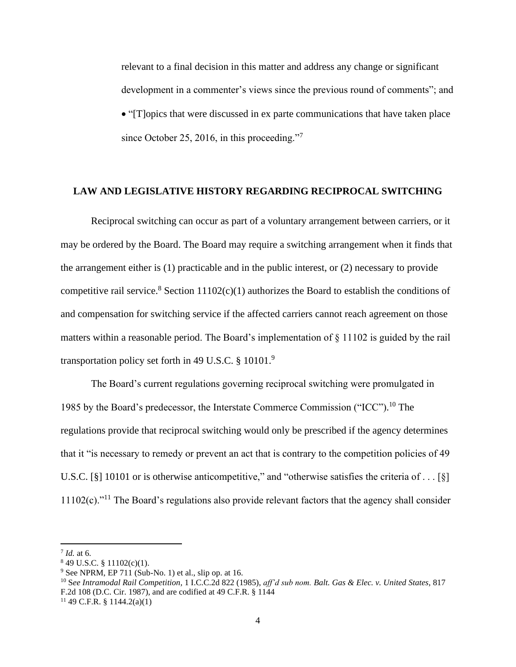relevant to a final decision in this matter and address any change or significant development in a commenter's views since the previous round of comments"; and • "[T]opics that were discussed in ex parte communications that have taken place since October 25, 2016, in this proceeding."<sup>7</sup>

#### **LAW AND LEGISLATIVE HISTORY REGARDING RECIPROCAL SWITCHING**

Reciprocal switching can occur as part of a voluntary arrangement between carriers, or it may be ordered by the Board. The Board may require a switching arrangement when it finds that the arrangement either is (1) practicable and in the public interest, or (2) necessary to provide competitive rail service.<sup>8</sup> Section 11102(c)(1) authorizes the Board to establish the conditions of and compensation for switching service if the affected carriers cannot reach agreement on those matters within a reasonable period. The Board's implementation of § 11102 is guided by the rail transportation policy set forth in 49 U.S.C.  $\S$  10101.<sup>9</sup>

The Board's current regulations governing reciprocal switching were promulgated in 1985 by the Board's predecessor, the Interstate Commerce Commission ("ICC"). <sup>10</sup> The regulations provide that reciprocal switching would only be prescribed if the agency determines that it "is necessary to remedy or prevent an act that is contrary to the competition policies of 49 U.S.C. [§] 10101 or is otherwise anticompetitive," and "otherwise satisfies the criteria of . . . [§]  $11102(c)$ ."<sup>11</sup> The Board's regulations also provide relevant factors that the agency shall consider

<sup>7</sup> *Id.* at 6.

<sup>8</sup> 49 U.S.C. § 11102(c)(1).

 $9$  See NPRM, EP 711 (Sub-No. 1) et al., slip op. at 16.

<sup>10</sup> S*ee Intramodal Rail Competition,* 1 I.C.C.2d 822 (1985), *aff'd sub nom. Balt. Gas & Elec. v. United States,* 817 F.2d 108 (D.C. Cir. 1987), and are codified at 49 C.F.R. § 1144

 $11$  49 C.F.R. § 1144.2(a)(1)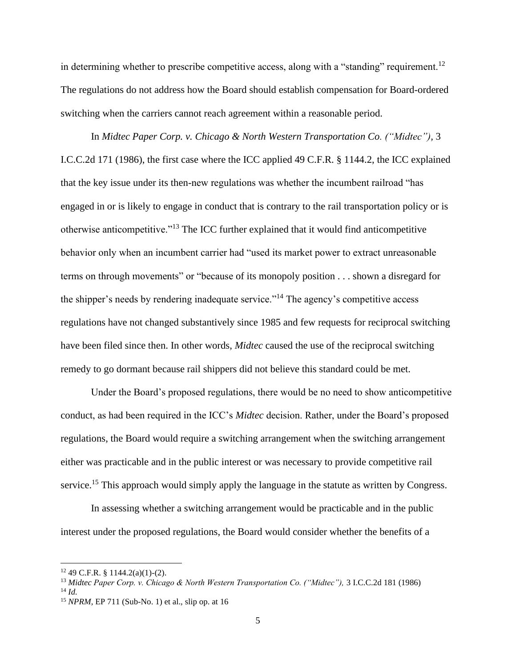in determining whether to prescribe competitive access, along with a "standing" requirement.<sup>12</sup> The regulations do not address how the Board should establish compensation for Board-ordered switching when the carriers cannot reach agreement within a reasonable period.

In *Midtec Paper Corp. v. Chicago & North Western Transportation Co. ("Midtec"),* 3 I.C.C.2d 171 (1986), the first case where the ICC applied 49 C.F.R. § 1144.2, the ICC explained that the key issue under its then-new regulations was whether the incumbent railroad "has engaged in or is likely to engage in conduct that is contrary to the rail transportation policy or is otherwise anticompetitive."<sup>13</sup> The ICC further explained that it would find anticompetitive behavior only when an incumbent carrier had "used its market power to extract unreasonable terms on through movements" or "because of its monopoly position . . . shown a disregard for the shipper's needs by rendering inadequate service."<sup>14</sup> The agency's competitive access regulations have not changed substantively since 1985 and few requests for reciprocal switching have been filed since then. In other words, *Midtec* caused the use of the reciprocal switching remedy to go dormant because rail shippers did not believe this standard could be met.

Under the Board's proposed regulations, there would be no need to show anticompetitive conduct, as had been required in the ICC's *Midtec* decision. Rather, under the Board's proposed regulations, the Board would require a switching arrangement when the switching arrangement either was practicable and in the public interest or was necessary to provide competitive rail service.<sup>15</sup> This approach would simply apply the language in the statute as written by Congress.

In assessing whether a switching arrangement would be practicable and in the public interest under the proposed regulations, the Board would consider whether the benefits of a

 $12$  49 C.F.R. § 1144.2(a)(1)-(2).

<sup>13</sup> *Midtec Paper Corp. v. Chicago & North Western Transportation Co. ("Midtec"),* 3 I.C.C.2d 181 (1986)

<sup>14</sup> *Id.*

<sup>15</sup> *NPRM,* EP 711 (Sub-No. 1) et al., slip op. at 16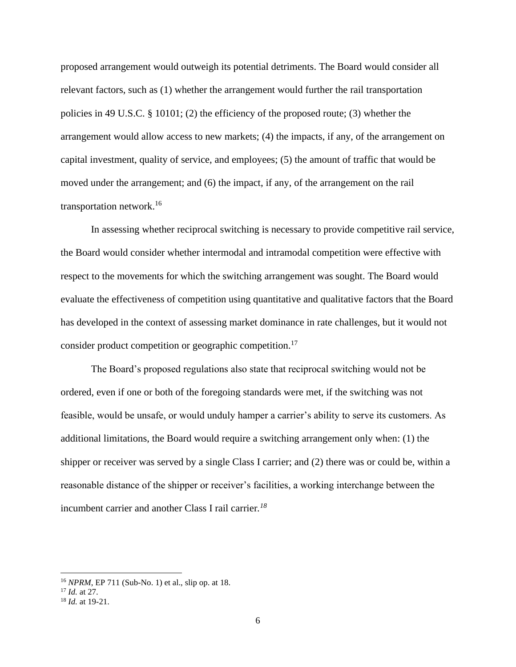proposed arrangement would outweigh its potential detriments. The Board would consider all relevant factors, such as (1) whether the arrangement would further the rail transportation policies in 49 U.S.C. § 10101; (2) the efficiency of the proposed route; (3) whether the arrangement would allow access to new markets; (4) the impacts, if any, of the arrangement on capital investment, quality of service, and employees; (5) the amount of traffic that would be moved under the arrangement; and (6) the impact, if any, of the arrangement on the rail transportation network.<sup>16</sup>

In assessing whether reciprocal switching is necessary to provide competitive rail service, the Board would consider whether intermodal and intramodal competition were effective with respect to the movements for which the switching arrangement was sought. The Board would evaluate the effectiveness of competition using quantitative and qualitative factors that the Board has developed in the context of assessing market dominance in rate challenges, but it would not consider product competition or geographic competition.<sup>17</sup>

The Board's proposed regulations also state that reciprocal switching would not be ordered, even if one or both of the foregoing standards were met, if the switching was not feasible, would be unsafe, or would unduly hamper a carrier's ability to serve its customers. As additional limitations, the Board would require a switching arrangement only when: (1) the shipper or receiver was served by a single Class I carrier; and (2) there was or could be, within a reasonable distance of the shipper or receiver's facilities, a working interchange between the incumbent carrier and another Class I rail carrier*. 18*

<sup>16</sup> *NPRM*, EP 711 (Sub-No. 1) et al., slip op. at 18.

<sup>17</sup> *Id.* at 27.

<sup>18</sup> *Id.* at 19-21.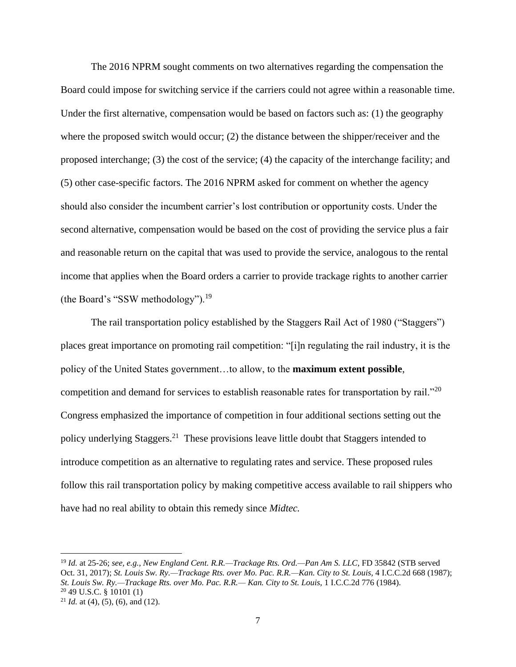The 2016 NPRM sought comments on two alternatives regarding the compensation the Board could impose for switching service if the carriers could not agree within a reasonable time. Under the first alternative, compensation would be based on factors such as: (1) the geography where the proposed switch would occur; (2) the distance between the shipper/receiver and the proposed interchange; (3) the cost of the service; (4) the capacity of the interchange facility; and (5) other case-specific factors. The 2016 NPRM asked for comment on whether the agency should also consider the incumbent carrier's lost contribution or opportunity costs. Under the second alternative, compensation would be based on the cost of providing the service plus a fair and reasonable return on the capital that was used to provide the service, analogous to the rental income that applies when the Board orders a carrier to provide trackage rights to another carrier (the Board's "SSW methodology").<sup>19</sup>

The rail transportation policy established by the Staggers Rail Act of 1980 ("Staggers") places great importance on promoting rail competition: "[i]n regulating the rail industry, it is the policy of the United States government…to allow, to the **maximum extent possible**, competition and demand for services to establish reasonable rates for transportation by rail."<sup>20</sup> Congress emphasized the importance of competition in four additional sections setting out the policy underlying Staggers.<sup>21</sup> These provisions leave little doubt that Staggers intended to introduce competition as an alternative to regulating rates and service. These proposed rules follow this rail transportation policy by making competitive access available to rail shippers who have had no real ability to obtain this remedy since *Midtec.*

<sup>19</sup> *Id.* at 25-26; *see, e.g., New England Cent. R.R.—Trackage Rts. Ord.—Pan Am S. LLC*, FD 35842 (STB served Oct. 31, 2017); *St. Louis Sw. Ry.—Trackage Rts. over Mo. Pac. R.R.—Kan. City to St. Louis,* 4 I.C.C.2d 668 (1987); *St. Louis Sw. Ry.—Trackage Rts. over Mo. Pac. R.R.— Kan. City to St. Louis,* 1 I.C.C.2d 776 (1984). <sup>20</sup> 49 U.S.C. § 10101 (1)

<sup>&</sup>lt;sup>21</sup> *Id.* at (4), (5), (6), and (12).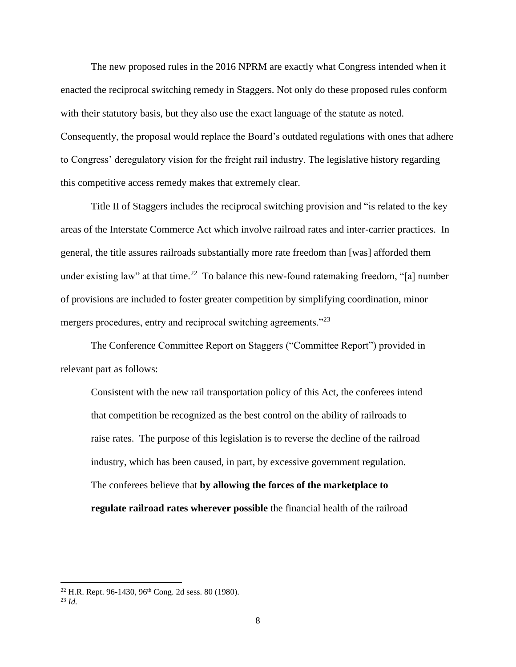The new proposed rules in the 2016 NPRM are exactly what Congress intended when it enacted the reciprocal switching remedy in Staggers. Not only do these proposed rules conform with their statutory basis, but they also use the exact language of the statute as noted. Consequently, the proposal would replace the Board's outdated regulations with ones that adhere to Congress' deregulatory vision for the freight rail industry. The legislative history regarding this competitive access remedy makes that extremely clear.

Title II of Staggers includes the reciprocal switching provision and "is related to the key areas of the Interstate Commerce Act which involve railroad rates and inter-carrier practices. In general, the title assures railroads substantially more rate freedom than [was] afforded them under existing law" at that time.<sup>22</sup> To balance this new-found ratemaking freedom, "[a] number of provisions are included to foster greater competition by simplifying coordination, minor mergers procedures, entry and reciprocal switching agreements." $^{23}$ 

The Conference Committee Report on Staggers ("Committee Report") provided in relevant part as follows:

Consistent with the new rail transportation policy of this Act, the conferees intend that competition be recognized as the best control on the ability of railroads to raise rates. The purpose of this legislation is to reverse the decline of the railroad industry, which has been caused, in part, by excessive government regulation. The conferees believe that **by allowing the forces of the marketplace to regulate railroad rates wherever possible** the financial health of the railroad

<sup>&</sup>lt;sup>22</sup> H.R. Rept. 96-1430, 96<sup>th</sup> Cong. 2d sess. 80 (1980).

 $^{23}$  *Id.*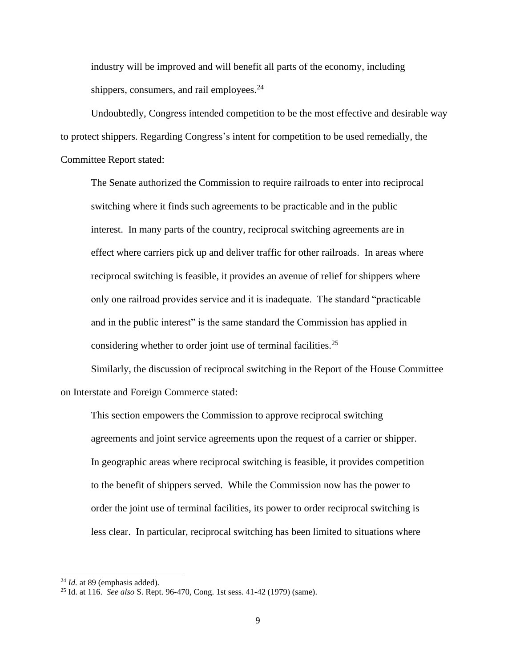industry will be improved and will benefit all parts of the economy, including shippers, consumers, and rail employees. $^{24}$ 

Undoubtedly, Congress intended competition to be the most effective and desirable way to protect shippers. Regarding Congress's intent for competition to be used remedially, the Committee Report stated:

The Senate authorized the Commission to require railroads to enter into reciprocal switching where it finds such agreements to be practicable and in the public interest. In many parts of the country, reciprocal switching agreements are in effect where carriers pick up and deliver traffic for other railroads. In areas where reciprocal switching is feasible, it provides an avenue of relief for shippers where only one railroad provides service and it is inadequate. The standard "practicable and in the public interest" is the same standard the Commission has applied in considering whether to order joint use of terminal facilities.<sup>25</sup>

Similarly, the discussion of reciprocal switching in the Report of the House Committee on Interstate and Foreign Commerce stated:

This section empowers the Commission to approve reciprocal switching agreements and joint service agreements upon the request of a carrier or shipper. In geographic areas where reciprocal switching is feasible, it provides competition to the benefit of shippers served. While the Commission now has the power to order the joint use of terminal facilities, its power to order reciprocal switching is less clear. In particular, reciprocal switching has been limited to situations where

<sup>24</sup> *Id.* at 89 (emphasis added).

<sup>25</sup> Id. at 116. *See also* S. Rept. 96-470, Cong. 1st sess. 41-42 (1979) (same).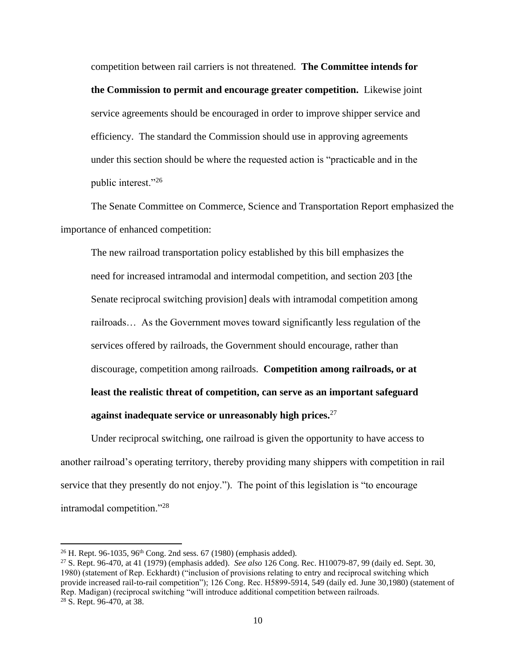competition between rail carriers is not threatened. **The Committee intends for the Commission to permit and encourage greater competition.** Likewise joint service agreements should be encouraged in order to improve shipper service and efficiency. The standard the Commission should use in approving agreements under this section should be where the requested action is "practicable and in the public interest."26

The Senate Committee on Commerce, Science and Transportation Report emphasized the importance of enhanced competition:

The new railroad transportation policy established by this bill emphasizes the need for increased intramodal and intermodal competition, and section 203 [the Senate reciprocal switching provision] deals with intramodal competition among railroads… As the Government moves toward significantly less regulation of the services offered by railroads, the Government should encourage, rather than discourage, competition among railroads. **Competition among railroads, or at least the realistic threat of competition, can serve as an important safeguard against inadequate service or unreasonably high prices.**<sup>27</sup>

Under reciprocal switching, one railroad is given the opportunity to have access to another railroad's operating territory, thereby providing many shippers with competition in rail service that they presently do not enjoy."). The point of this legislation is "to encourage intramodal competition."<sup>28</sup>

<sup>&</sup>lt;sup>26</sup> H. Rept. 96-1035, 96<sup>th</sup> Cong. 2nd sess. 67 (1980) (emphasis added).

<sup>27</sup> S. Rept. 96-470, at 41 (1979) (emphasis added). *See also* 126 Cong. Rec. H10079-87, 99 (daily ed. Sept. 30, 1980) (statement of Rep. Eckhardt) ("inclusion of provisions relating to entry and reciprocal switching which provide increased rail-to-rail competition"); 126 Cong. Rec. H5899-5914, 549 (daily ed. June 30,1980) (statement of Rep. Madigan) (reciprocal switching "will introduce additional competition between railroads. <sup>28</sup> S. Rept. 96-470, at 38.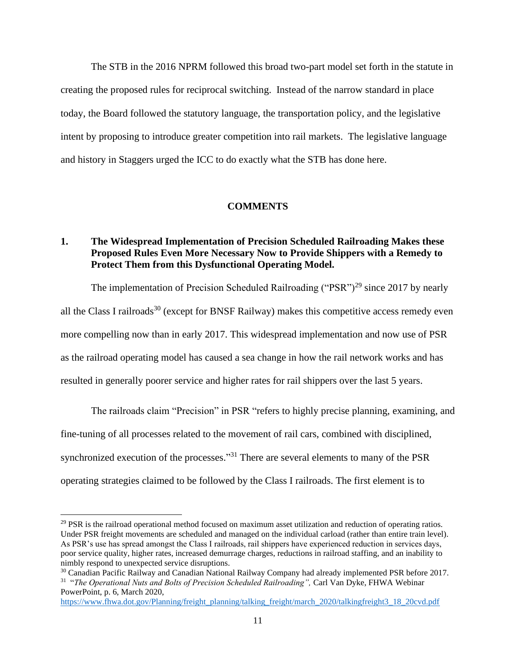The STB in the 2016 NPRM followed this broad two-part model set forth in the statute in creating the proposed rules for reciprocal switching. Instead of the narrow standard in place today, the Board followed the statutory language, the transportation policy, and the legislative intent by proposing to introduce greater competition into rail markets. The legislative language and history in Staggers urged the ICC to do exactly what the STB has done here.

## **COMMENTS**

# **1. The Widespread Implementation of Precision Scheduled Railroading Makes these Proposed Rules Even More Necessary Now to Provide Shippers with a Remedy to Protect Them from this Dysfunctional Operating Model.**

The implementation of Precision Scheduled Railroading ("PSR")<sup>29</sup> since 2017 by nearly all the Class I railroads<sup>30</sup> (except for BNSF Railway) makes this competitive access remedy even more compelling now than in early 2017. This widespread implementation and now use of PSR as the railroad operating model has caused a sea change in how the rail network works and has resulted in generally poorer service and higher rates for rail shippers over the last 5 years.

The railroads claim "Precision" in PSR "refers to highly precise planning, examining, and fine-tuning of all processes related to the movement of rail cars, combined with disciplined, synchronized execution of the processes."<sup>31</sup> There are several elements to many of the PSR operating strategies claimed to be followed by the Class I railroads. The first element is to

 $29$  PSR is the railroad operational method focused on maximum asset utilization and reduction of operating ratios. Under PSR freight movements are scheduled and managed on the individual carload (rather than entire train level). As PSR's use has spread amongst the Class I railroads, rail shippers have experienced reduction in services days, poor service quality, higher rates, increased demurrage charges, reductions in railroad staffing, and an inability to nimbly respond to unexpected service disruptions.

<sup>&</sup>lt;sup>30</sup> Canadian Pacific Railway and Canadian National Railway Company had already implemented PSR before 2017. 31 "*The Operational Nuts and Bolts of Precision Scheduled Railroading",* Carl Van Dyke, FHWA Webinar

PowerPoint, p. 6, March 2020,

[https://www.fhwa.dot.gov/Planning/freight\\_planning/talking\\_freight/march\\_2020/talkingfreight3\\_18\\_20cvd.pdf](https://www.fhwa.dot.gov/Planning/freight_planning/talking_freight/march_2020/talkingfreight3_18_20cvd.pdf)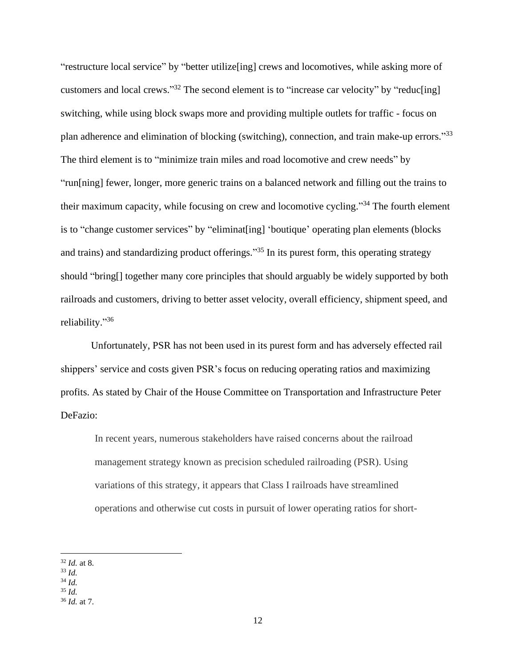"restructure local service" by "better utilize[ing] crews and locomotives, while asking more of customers and local crews."<sup>32</sup> The second element is to "increase car velocity" by "reduc[ing] switching, while using block swaps more and providing multiple outlets for traffic - focus on plan adherence and elimination of blocking (switching), connection, and train make-up errors."33 The third element is to "minimize train miles and road locomotive and crew needs" by "run[ning] fewer, longer, more generic trains on a balanced network and filling out the trains to their maximum capacity, while focusing on crew and locomotive cycling."<sup>34</sup> The fourth element is to "change customer services" by "eliminat[ing] 'boutique' operating plan elements (blocks and trains) and standardizing product offerings."<sup>35</sup> In its purest form, this operating strategy should "bring[] together many core principles that should arguably be widely supported by both railroads and customers, driving to better asset velocity, overall efficiency, shipment speed, and reliability." 36

Unfortunately, PSR has not been used in its purest form and has adversely effected rail shippers' service and costs given PSR's focus on reducing operating ratios and maximizing profits. As stated by Chair of the House Committee on Transportation and Infrastructure Peter DeFazio:

In recent years, numerous stakeholders have raised concerns about the railroad management strategy known as precision scheduled railroading (PSR). Using variations of this strategy, it appears that Class I railroads have streamlined operations and otherwise cut costs in pursuit of lower operating ratios for short-

<sup>32</sup> *Id.* at 8.

<sup>33</sup> *Id.*

<sup>34</sup> *Id.*

<sup>35</sup> *Id.*

<sup>36</sup> *Id.* at 7.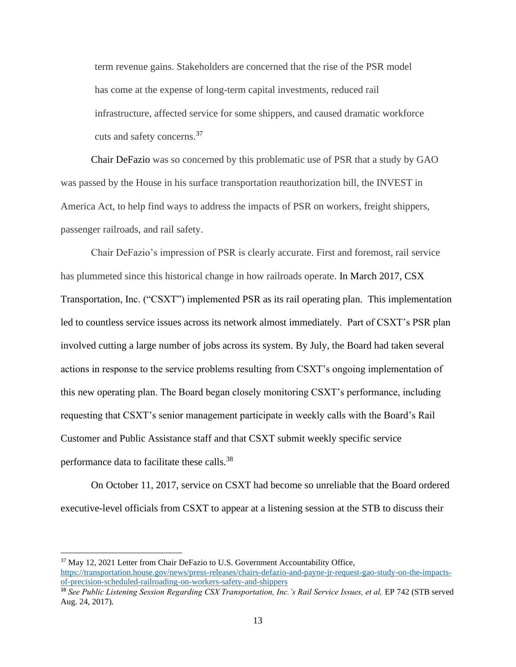term revenue gains. Stakeholders are concerned that the rise of the PSR model has come at the expense of long-term capital investments, reduced rail infrastructure, affected service for some shippers, and caused dramatic workforce cuts and safety concerns.<sup>37</sup>

Chair DeFazio was so concerned by this problematic use of PSR that a study by GAO was passed by the House in his surface transportation reauthorization bill, the INVEST in America Act, to help find ways to address the impacts of PSR on workers, freight shippers, passenger railroads, and rail safety.

Chair DeFazio's impression of PSR is clearly accurate. First and foremost, rail service has plummeted since this historical change in how railroads operate. In March 2017, CSX Transportation, Inc. ("CSXT") implemented PSR as its rail operating plan. This implementation led to countless service issues across its network almost immediately. Part of CSXT's PSR plan involved cutting a large number of jobs across its system. By July, the Board had taken several actions in response to the service problems resulting from CSXT's ongoing implementation of this new operating plan. The Board began closely monitoring CSXT's performance, including requesting that CSXT's senior management participate in weekly calls with the Board's Rail Customer and Public Assistance staff and that CSXT submit weekly specific service performance data to facilitate these calls.<sup>38</sup>

On October 11, 2017, service on CSXT had become so unreliable that the Board ordered executive-level officials from CSXT to appear at a listening session at the STB to discuss their

<sup>37</sup> May 12, 2021 Letter from Chair DeFazio to U.S. Government Accountability Office, [https://transportation.house.gov/news/press-releases/chairs-defazio-and-payne-jr-request-gao-study-on-the-impacts](https://transportation.house.gov/news/press-releases/chairs-defazio-and-payne-jr-request-gao-study-on-the-impacts-of-precision-scheduled-railroading-on-workers-safety-and-shippers)[of-precision-scheduled-railroading-on-workers-safety-and-shippers](https://transportation.house.gov/news/press-releases/chairs-defazio-and-payne-jr-request-gao-study-on-the-impacts-of-precision-scheduled-railroading-on-workers-safety-and-shippers)

<sup>&</sup>lt;sup>38</sup> See Public Listening Session Regarding CSX Transportation, Inc.'s Rail Service Issues, et al, EP 742 (STB served Aug. 24, 2017).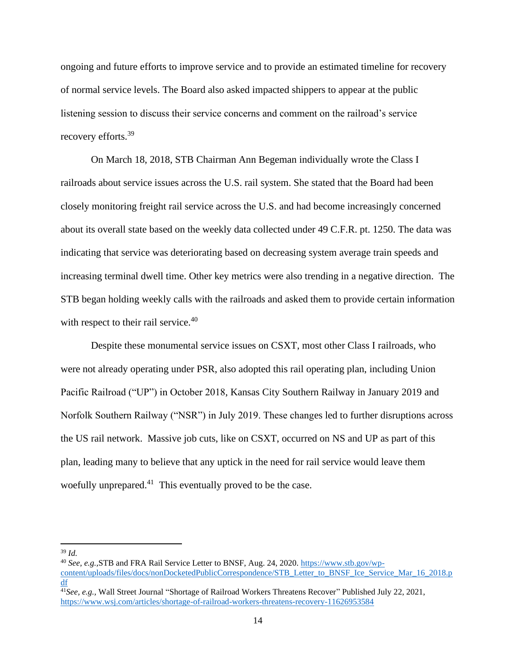ongoing and future efforts to improve service and to provide an estimated timeline for recovery of normal service levels. The Board also asked impacted shippers to appear at the public listening session to discuss their service concerns and comment on the railroad's service recovery efforts.<sup>39</sup>

On March 18, 2018, STB Chairman Ann Begeman individually wrote the Class I railroads about service issues across the U.S. rail system. She stated that the Board had been closely monitoring freight rail service across the U.S. and had become increasingly concerned about its overall state based on the weekly data collected under 49 C.F.R. pt. 1250. The data was indicating that service was deteriorating based on decreasing system average train speeds and increasing terminal dwell time. Other key metrics were also trending in a negative direction. The STB began holding weekly calls with the railroads and asked them to provide certain information with respect to their rail service.<sup>40</sup>

Despite these monumental service issues on CSXT, most other Class I railroads, who were not already operating under PSR, also adopted this rail operating plan, including Union Pacific Railroad ("UP") in October 2018, Kansas City Southern Railway in January 2019 and Norfolk Southern Railway ("NSR") in July 2019. These changes led to further disruptions across the US rail network. Massive job cuts, like on CSXT, occurred on NS and UP as part of this plan, leading many to believe that any uptick in the need for rail service would leave them woefully unprepared. $41$  This eventually proved to be the case.

<sup>39</sup> *Id.*

<sup>40</sup> *See, e.g.,*STB and FRA Rail Service Letter to BNSF, Aug. 24, 2020. [https://www.stb.gov/wp](https://www.stb.gov/wp-content/uploads/files/docs/nonDocketedPublicCorrespondence/STB_Letter_to_BNSF_Ice_Service_Mar_16_2018.pdf)[content/uploads/files/docs/nonDocketedPublicCorrespondence/STB\\_Letter\\_to\\_BNSF\\_Ice\\_Service\\_Mar\\_16\\_2018.p](https://www.stb.gov/wp-content/uploads/files/docs/nonDocketedPublicCorrespondence/STB_Letter_to_BNSF_Ice_Service_Mar_16_2018.pdf) [df](https://www.stb.gov/wp-content/uploads/files/docs/nonDocketedPublicCorrespondence/STB_Letter_to_BNSF_Ice_Service_Mar_16_2018.pdf)

<sup>41</sup>*See, e.g.,* Wall Street Journal "Shortage of Railroad Workers Threatens Recover" Published July 22, 2021, <https://www.wsj.com/articles/shortage-of-railroad-workers-threatens-recovery-11626953584>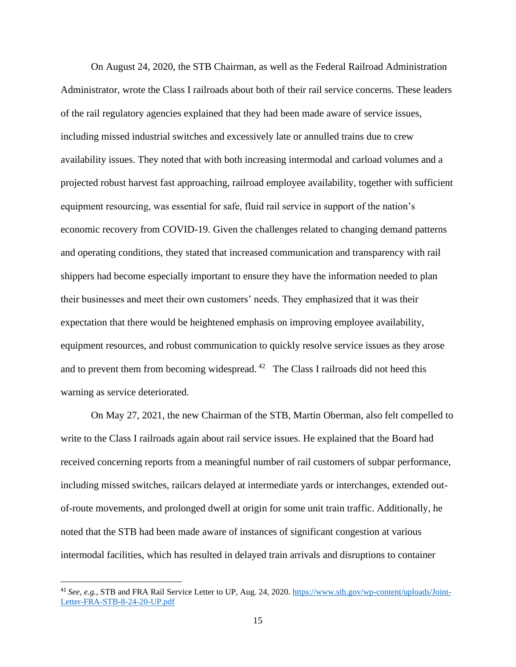On August 24, 2020, the STB Chairman, as well as the Federal Railroad Administration Administrator, wrote the Class I railroads about both of their rail service concerns. These leaders of the rail regulatory agencies explained that they had been made aware of service issues, including missed industrial switches and excessively late or annulled trains due to crew availability issues. They noted that with both increasing intermodal and carload volumes and a projected robust harvest fast approaching, railroad employee availability, together with sufficient equipment resourcing, was essential for safe, fluid rail service in support of the nation's economic recovery from COVID-19. Given the challenges related to changing demand patterns and operating conditions, they stated that increased communication and transparency with rail shippers had become especially important to ensure they have the information needed to plan their businesses and meet their own customers' needs. They emphasized that it was their expectation that there would be heightened emphasis on improving employee availability, equipment resources, and robust communication to quickly resolve service issues as they arose and to prevent them from becoming widespread.<sup>42</sup> The Class I railroads did not heed this warning as service deteriorated.

On May 27, 2021, the new Chairman of the STB, Martin Oberman, also felt compelled to write to the Class I railroads again about rail service issues. He explained that the Board had received concerning reports from a meaningful number of rail customers of subpar performance, including missed switches, railcars delayed at intermediate yards or interchanges, extended outof-route movements, and prolonged dwell at origin for some unit train traffic. Additionally, he noted that the STB had been made aware of instances of significant congestion at various intermodal facilities, which has resulted in delayed train arrivals and disruptions to container

<sup>42</sup> *See, e.g.,* STB and FRA Rail Service Letter to UP, Aug. 24, 2020. [https://www.stb.gov/wp-content/uploads/Joint-](https://www.stb.gov/wp-content/uploads/Joint-Letter-FRA-STB-8-24-20-UP.pdf)[Letter-FRA-STB-8-24-20-UP.pdf](https://www.stb.gov/wp-content/uploads/Joint-Letter-FRA-STB-8-24-20-UP.pdf)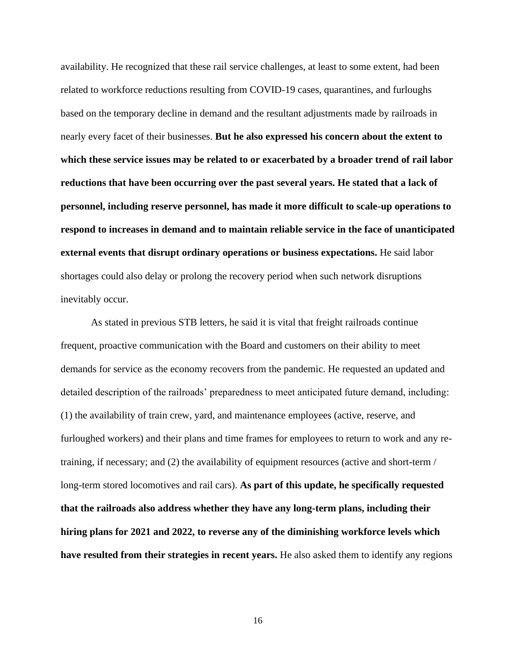availability. He recognized that these rail service challenges, at least to some extent, had been related to workforce reductions resulting from COVID-19 cases, quarantines, and furloughs based on the temporary decline in demand and the resultant adjustments made by railroads in nearly every facet of their businesses. **But he also expressed his concern about the extent to which these service issues may be related to or exacerbated by a broader trend of rail labor reductions that have been occurring over the past several years. He stated that a lack of personnel, including reserve personnel, has made it more difficult to scale-up operations to respond to increases in demand and to maintain reliable service in the face of unanticipated external events that disrupt ordinary operations or business expectations.** He said labor shortages could also delay or prolong the recovery period when such network disruptions inevitably occur.

As stated in previous STB letters, he said it is vital that freight railroads continue frequent, proactive communication with the Board and customers on their ability to meet demands for service as the economy recovers from the pandemic. He requested an updated and detailed description of the railroads' preparedness to meet anticipated future demand, including: (1) the availability of train crew, yard, and maintenance employees (active, reserve, and furloughed workers) and their plans and time frames for employees to return to work and any retraining, if necessary; and (2) the availability of equipment resources (active and short-term / long-term stored locomotives and rail cars). **As part of this update, he specifically requested that the railroads also address whether they have any long-term plans, including their hiring plans for 2021 and 2022, to reverse any of the diminishing workforce levels which have resulted from their strategies in recent years.** He also asked them to identify any regions

16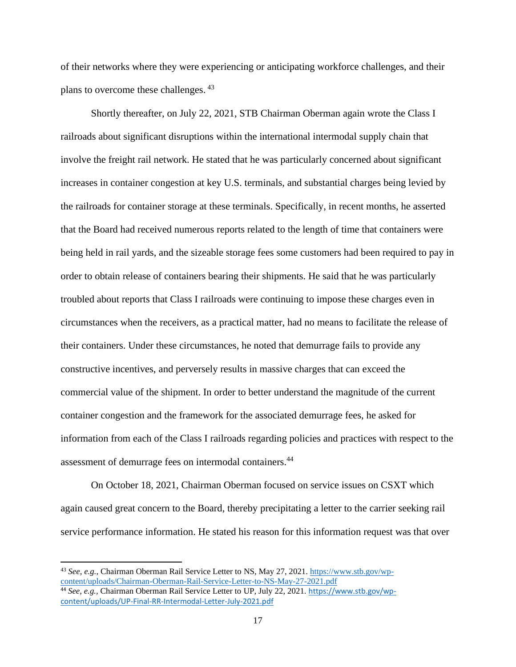of their networks where they were experiencing or anticipating workforce challenges, and their plans to overcome these challenges. <sup>43</sup>

Shortly thereafter, on July 22, 2021, STB Chairman Oberman again wrote the Class I railroads about significant disruptions within the international intermodal supply chain that involve the freight rail network. He stated that he was particularly concerned about significant increases in container congestion at key U.S. terminals, and substantial charges being levied by the railroads for container storage at these terminals. Specifically, in recent months, he asserted that the Board had received numerous reports related to the length of time that containers were being held in rail yards, and the sizeable storage fees some customers had been required to pay in order to obtain release of containers bearing their shipments. He said that he was particularly troubled about reports that Class I railroads were continuing to impose these charges even in circumstances when the receivers, as a practical matter, had no means to facilitate the release of their containers. Under these circumstances, he noted that demurrage fails to provide any constructive incentives, and perversely results in massive charges that can exceed the commercial value of the shipment. In order to better understand the magnitude of the current container congestion and the framework for the associated demurrage fees, he asked for information from each of the Class I railroads regarding policies and practices with respect to the assessment of demurrage fees on intermodal containers.<sup>44</sup>

On October 18, 2021, Chairman Oberman focused on service issues on CSXT which again caused great concern to the Board, thereby precipitating a letter to the carrier seeking rail service performance information. He stated his reason for this information request was that over

<sup>43</sup> *See, e.g.,* Chairman Oberman Rail Service Letter to NS, May 27, 2021. [https://www.stb.gov/wp](https://www.stb.gov/wp-content/uploads/Chairman-Oberman-Rail-Service-Letter-to-NS-May-27-2021.pdf)[content/uploads/Chairman-Oberman-Rail-Service-Letter-to-NS-May-27-2021.pdf](https://www.stb.gov/wp-content/uploads/Chairman-Oberman-Rail-Service-Letter-to-NS-May-27-2021.pdf) <sup>44</sup> *See, e.g.,* Chairman Oberman Rail Service Letter to UP, July 22, 2021. [https://www.stb.gov/wp](https://www.stb.gov/wp-content/uploads/UP-Final-RR-Intermodal-Letter-July-2021.pdf)[content/uploads/UP-Final-RR-Intermodal-Letter-July-2021.pdf](https://www.stb.gov/wp-content/uploads/UP-Final-RR-Intermodal-Letter-July-2021.pdf)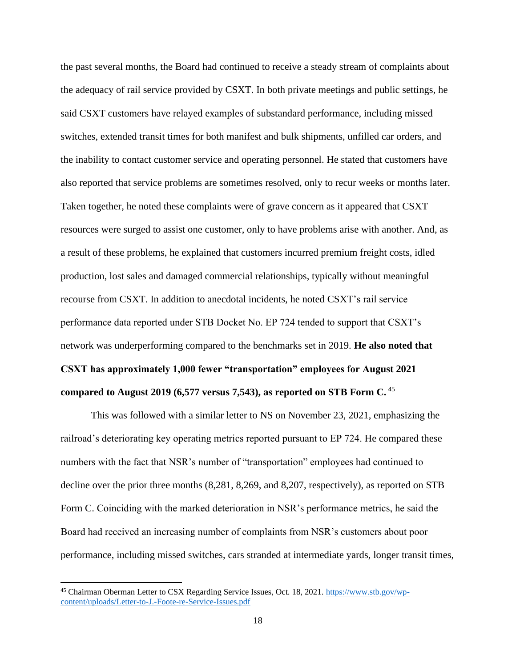the past several months, the Board had continued to receive a steady stream of complaints about the adequacy of rail service provided by CSXT. In both private meetings and public settings, he said CSXT customers have relayed examples of substandard performance, including missed switches, extended transit times for both manifest and bulk shipments, unfilled car orders, and the inability to contact customer service and operating personnel. He stated that customers have also reported that service problems are sometimes resolved, only to recur weeks or months later. Taken together, he noted these complaints were of grave concern as it appeared that CSXT resources were surged to assist one customer, only to have problems arise with another. And, as a result of these problems, he explained that customers incurred premium freight costs, idled production, lost sales and damaged commercial relationships, typically without meaningful recourse from CSXT. In addition to anecdotal incidents, he noted CSXT's rail service performance data reported under STB Docket No. EP 724 tended to support that CSXT's network was underperforming compared to the benchmarks set in 2019. **He also noted that CSXT has approximately 1,000 fewer "transportation" employees for August 2021 compared to August 2019 (6,577 versus 7,543), as reported on STB Form C.** <sup>45</sup>

This was followed with a similar letter to NS on November 23, 2021, emphasizing the railroad's deteriorating key operating metrics reported pursuant to EP 724. He compared these numbers with the fact that NSR's number of "transportation" employees had continued to decline over the prior three months (8,281, 8,269, and 8,207, respectively), as reported on STB Form C. Coinciding with the marked deterioration in NSR's performance metrics, he said the Board had received an increasing number of complaints from NSR's customers about poor performance, including missed switches, cars stranded at intermediate yards, longer transit times,

<sup>&</sup>lt;sup>45</sup> Chairman Oberman Letter to CSX Regarding Service Issues, Oct. 18, 2021. [https://www.stb.gov/wp](https://www.stb.gov/wp-content/uploads/Letter-to-J.-Foote-re-Service-Issues.pdf)[content/uploads/Letter-to-J.-Foote-re-Service-Issues.pdf](https://www.stb.gov/wp-content/uploads/Letter-to-J.-Foote-re-Service-Issues.pdf)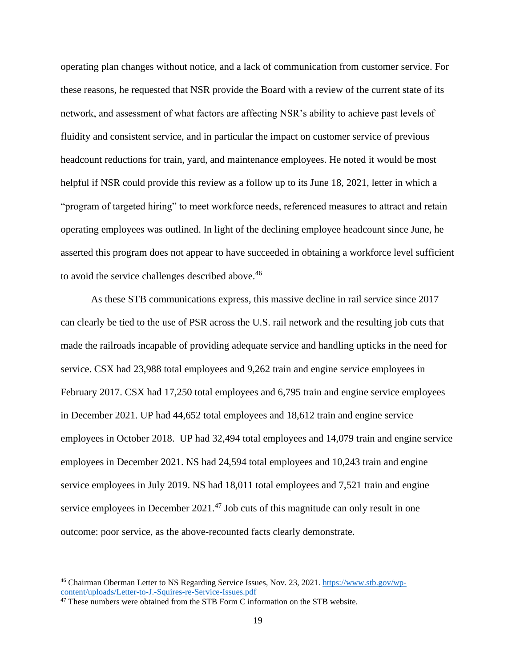operating plan changes without notice, and a lack of communication from customer service. For these reasons, he requested that NSR provide the Board with a review of the current state of its network, and assessment of what factors are affecting NSR's ability to achieve past levels of fluidity and consistent service, and in particular the impact on customer service of previous headcount reductions for train, yard, and maintenance employees. He noted it would be most helpful if NSR could provide this review as a follow up to its June 18, 2021, letter in which a "program of targeted hiring" to meet workforce needs, referenced measures to attract and retain operating employees was outlined. In light of the declining employee headcount since June, he asserted this program does not appear to have succeeded in obtaining a workforce level sufficient to avoid the service challenges described above.<sup>46</sup>

As these STB communications express, this massive decline in rail service since 2017 can clearly be tied to the use of PSR across the U.S. rail network and the resulting job cuts that made the railroads incapable of providing adequate service and handling upticks in the need for service. CSX had 23,988 total employees and 9,262 train and engine service employees in February 2017. CSX had 17,250 total employees and 6,795 train and engine service employees in December 2021. UP had 44,652 total employees and 18,612 train and engine service employees in October 2018. UP had 32,494 total employees and 14,079 train and engine service employees in December 2021. NS had 24,594 total employees and 10,243 train and engine service employees in July 2019. NS had 18,011 total employees and 7,521 train and engine service employees in December 2021.<sup>47</sup> Job cuts of this magnitude can only result in one outcome: poor service, as the above-recounted facts clearly demonstrate.

<sup>46</sup> Chairman Oberman Letter to NS Regarding Service Issues, Nov. 23, 2021. [https://www.stb.gov/wp](https://www.stb.gov/wp-content/uploads/Letter-to-J.-Squires-re-Service-Issues.pdf)[content/uploads/Letter-to-J.-Squires-re-Service-Issues.pdf](https://www.stb.gov/wp-content/uploads/Letter-to-J.-Squires-re-Service-Issues.pdf)

<sup>&</sup>lt;sup>47</sup> These numbers were obtained from the STB Form C information on the STB website.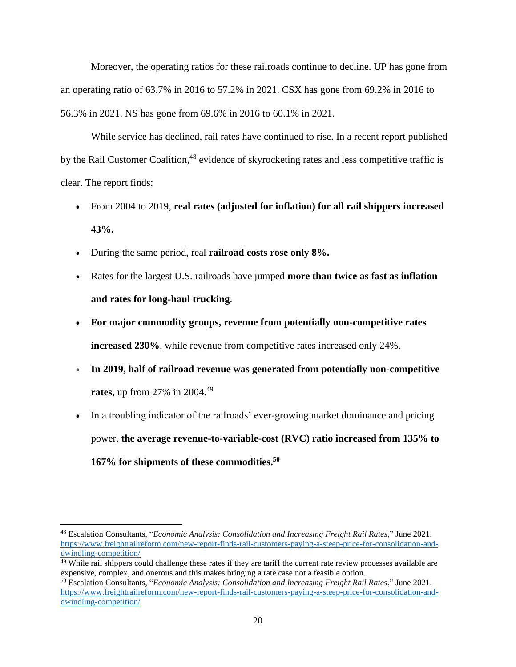Moreover, the operating ratios for these railroads continue to decline. UP has gone from an operating ratio of 63.7% in 2016 to 57.2% in 2021. CSX has gone from 69.2% in 2016 to 56.3% in 2021. NS has gone from 69.6% in 2016 to 60.1% in 2021.

While service has declined, rail rates have continued to rise. In a recent report published by the Rail Customer Coalition,<sup>48</sup> evidence of skyrocketing rates and less competitive traffic is clear. The report finds:

- From 2004 to 2019, **real rates (adjusted for inflation) for all rail shippers increased 43%.**
- During the same period, real **railroad costs rose only 8%.**
- Rates for the largest U.S. railroads have jumped **more than twice as fast as inflation and rates for long-haul trucking**.
- **For major commodity groups, revenue from potentially non-competitive rates increased 230%**, while revenue from competitive rates increased only 24%.
- **In 2019, half of railroad revenue was generated from potentially non-competitive rates**, up from 27% in 2004.<sup>49</sup>
- In a troubling indicator of the railroads' ever-growing market dominance and pricing power, **the average revenue-to-variable-cost (RVC) ratio increased from 135% to 167% for shipments of these commodities.<sup>50</sup>**

<sup>48</sup> Escalation Consultants, "*Economic [Analysis: Consolidation and Increasing Freight Rail Rates](https://www.freightrailreform.com/wp-content/uploads/2021/07/Economic-Analysis-Consolidation-and-Increasing-Freight-Rail-Rates.pdf)*," June 2021. [https://www.freightrailreform.com/new-report-finds-rail-customers-paying-a-steep-price-for-consolidation-and](https://www.freightrailreform.com/new-report-finds-rail-customers-paying-a-steep-price-for-consolidation-and-dwindling-competition/)[dwindling-competition/](https://www.freightrailreform.com/new-report-finds-rail-customers-paying-a-steep-price-for-consolidation-and-dwindling-competition/)

 $49$  While rail shippers could challenge these rates if they are tariff the current rate review processes available are expensive, complex, and onerous and this makes bringing a rate case not a feasible option.

<sup>50</sup> Escalation Consultants, "*Economic [Analysis: Consolidation and Increasing Freight Rail Rates](https://www.freightrailreform.com/wp-content/uploads/2021/07/Economic-Analysis-Consolidation-and-Increasing-Freight-Rail-Rates.pdf)*," June 2021. [https://www.freightrailreform.com/new-report-finds-rail-customers-paying-a-steep-price-for-consolidation-and](https://www.freightrailreform.com/new-report-finds-rail-customers-paying-a-steep-price-for-consolidation-and-dwindling-competition/)[dwindling-competition/](https://www.freightrailreform.com/new-report-finds-rail-customers-paying-a-steep-price-for-consolidation-and-dwindling-competition/)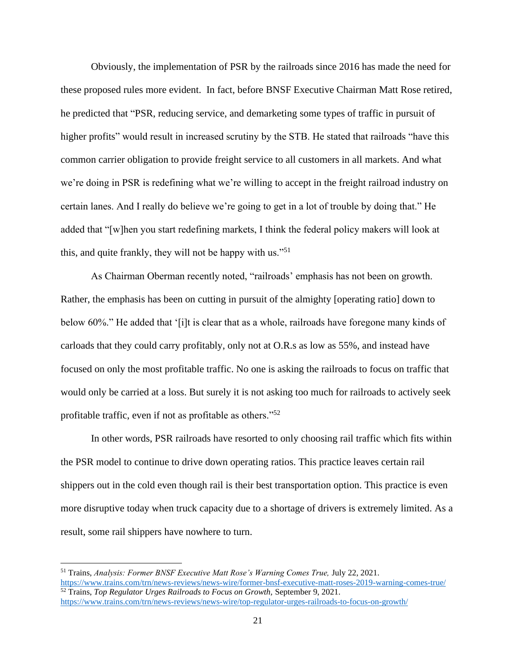Obviously, the implementation of PSR by the railroads since 2016 has made the need for these proposed rules more evident. In fact, before BNSF Executive Chairman Matt Rose retired, he predicted that "PSR, reducing service, and demarketing some types of traffic in pursuit of higher profits" would result in increased scrutiny by the STB. He stated that railroads "have this common carrier obligation to provide freight service to all customers in all markets. And what we're doing in PSR is redefining what we're willing to accept in the freight railroad industry on certain lanes. And I really do believe we're going to get in a lot of trouble by doing that." He added that "[w]hen you start redefining markets, I think the federal policy makers will look at this, and quite frankly, they will not be happy with us."<sup>51</sup>

As Chairman Oberman recently noted, "railroads' emphasis has not been on growth. Rather, the emphasis has been on cutting in pursuit of the almighty [operating ratio] down to below 60%." He added that '[i]t is clear that as a whole, railroads have foregone many kinds of carloads that they could carry profitably, only not at O.R.s as low as 55%, and instead have focused on only the most profitable traffic. No one is asking the railroads to focus on traffic that would only be carried at a loss. But surely it is not asking too much for railroads to actively seek profitable traffic, even if not as profitable as others."<sup>52</sup>

In other words, PSR railroads have resorted to only choosing rail traffic which fits within the PSR model to continue to drive down operating ratios. This practice leaves certain rail shippers out in the cold even though rail is their best transportation option. This practice is even more disruptive today when truck capacity due to a shortage of drivers is extremely limited. As a result, some rail shippers have nowhere to turn.

<https://www.trains.com/trn/news-reviews/news-wire/former-bnsf-executive-matt-roses-2019-warning-comes-true/> <sup>52</sup> Trains, *Top Regulator Urges Railroads to Focus on Growth,* September 9, 2021. <https://www.trains.com/trn/news-reviews/news-wire/top-regulator-urges-railroads-to-focus-on-growth/>

<sup>51</sup> Trains, *Analysis: Former BNSF Executive Matt Rose's Warning Comes True,* July 22, 2021.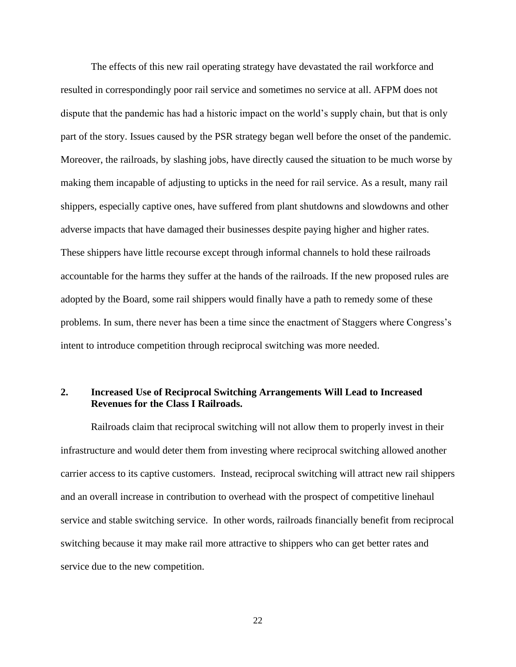The effects of this new rail operating strategy have devastated the rail workforce and resulted in correspondingly poor rail service and sometimes no service at all. AFPM does not dispute that the pandemic has had a historic impact on the world's supply chain, but that is only part of the story. Issues caused by the PSR strategy began well before the onset of the pandemic. Moreover, the railroads, by slashing jobs, have directly caused the situation to be much worse by making them incapable of adjusting to upticks in the need for rail service. As a result, many rail shippers, especially captive ones, have suffered from plant shutdowns and slowdowns and other adverse impacts that have damaged their businesses despite paying higher and higher rates. These shippers have little recourse except through informal channels to hold these railroads accountable for the harms they suffer at the hands of the railroads. If the new proposed rules are adopted by the Board, some rail shippers would finally have a path to remedy some of these problems. In sum, there never has been a time since the enactment of Staggers where Congress's intent to introduce competition through reciprocal switching was more needed.

## **2. Increased Use of Reciprocal Switching Arrangements Will Lead to Increased Revenues for the Class I Railroads.**

Railroads claim that reciprocal switching will not allow them to properly invest in their infrastructure and would deter them from investing where reciprocal switching allowed another carrier access to its captive customers. Instead, reciprocal switching will attract new rail shippers and an overall increase in contribution to overhead with the prospect of competitive linehaul service and stable switching service. In other words, railroads financially benefit from reciprocal switching because it may make rail more attractive to shippers who can get better rates and service due to the new competition.

22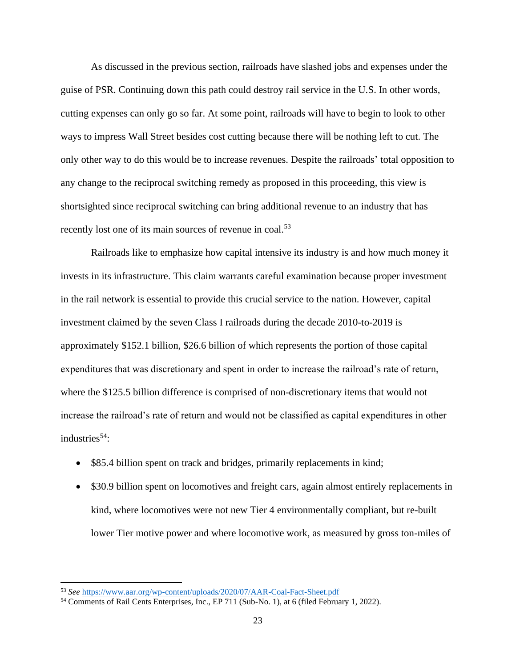As discussed in the previous section, railroads have slashed jobs and expenses under the guise of PSR. Continuing down this path could destroy rail service in the U.S. In other words, cutting expenses can only go so far. At some point, railroads will have to begin to look to other ways to impress Wall Street besides cost cutting because there will be nothing left to cut. The only other way to do this would be to increase revenues. Despite the railroads' total opposition to any change to the reciprocal switching remedy as proposed in this proceeding, this view is shortsighted since reciprocal switching can bring additional revenue to an industry that has recently lost one of its main sources of revenue in coal.<sup>53</sup>

Railroads like to emphasize how capital intensive its industry is and how much money it invests in its infrastructure. This claim warrants careful examination because proper investment in the rail network is essential to provide this crucial service to the nation. However, capital investment claimed by the seven Class I railroads during the decade 2010-to-2019 is approximately \$152.1 billion, \$26.6 billion of which represents the portion of those capital expenditures that was discretionary and spent in order to increase the railroad's rate of return, where the \$125.5 billion difference is comprised of non-discretionary items that would not increase the railroad's rate of return and would not be classified as capital expenditures in other industries $54$ :

- \$85.4 billion spent on track and bridges, primarily replacements in kind;
- \$30.9 billion spent on locomotives and freight cars, again almost entirely replacements in kind, where locomotives were not new Tier 4 environmentally compliant, but re-built lower Tier motive power and where locomotive work, as measured by gross ton-miles of

<sup>53</sup> *See* <https://www.aar.org/wp-content/uploads/2020/07/AAR-Coal-Fact-Sheet.pdf>

<sup>&</sup>lt;sup>54</sup> Comments of Rail Cents Enterprises, Inc., EP 711 (Sub-No. 1), at 6 (filed February 1, 2022).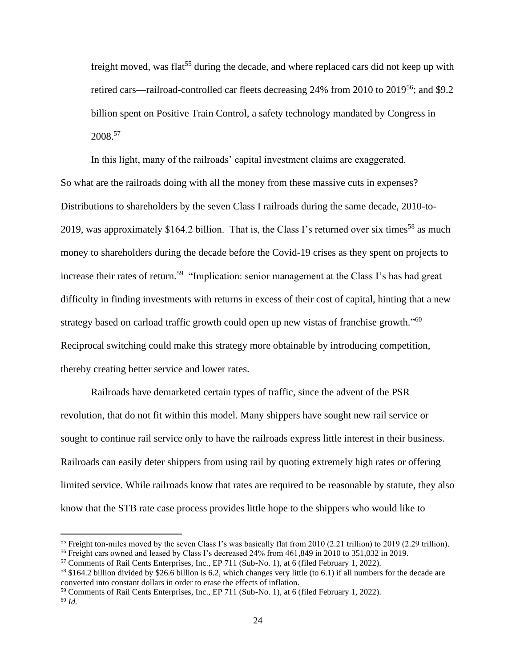freight moved, was flat<sup>55</sup> during the decade, and where replaced cars did not keep up with retired cars—railroad-controlled car fleets decreasing 24% from 2010 to  $2019^{56}$ ; and \$9.2 billion spent on Positive Train Control, a safety technology mandated by Congress in 2008. 57

In this light, many of the railroads' capital investment claims are exaggerated. So what are the railroads doing with all the money from these massive cuts in expenses? Distributions to shareholders by the seven Class I railroads during the same decade, 2010-to-2019, was approximately \$164.2 billion. That is, the Class I's returned over six times<sup>58</sup> as much money to shareholders during the decade before the Covid-19 crises as they spent on projects to increase their rates of return.<sup>59</sup> "Implication: senior management at the Class I's has had great difficulty in finding investments with returns in excess of their cost of capital, hinting that a new strategy based on carload traffic growth could open up new vistas of franchise growth."<sup>60</sup> Reciprocal switching could make this strategy more obtainable by introducing competition, thereby creating better service and lower rates.

Railroads have demarketed certain types of traffic, since the advent of the PSR revolution, that do not fit within this model. Many shippers have sought new rail service or sought to continue rail service only to have the railroads express little interest in their business. Railroads can easily deter shippers from using rail by quoting extremely high rates or offering limited service. While railroads know that rates are required to be reasonable by statute, they also know that the STB rate case process provides little hope to the shippers who would like to

<sup>&</sup>lt;sup>55</sup> Freight ton-miles moved by the seven Class I's was basically flat from 2010 (2.21 trillion) to 2019 (2.29 trillion).

<sup>56</sup> Freight cars owned and leased by Class I's decreased 24% from 461,849 in 2010 to 351,032 in 2019.

<sup>57</sup> Comments of Rail Cents Enterprises, Inc., EP 711 (Sub-No. 1), at 6 (filed February 1, 2022).

<sup>58</sup> \$164.2 billion divided by \$26.6 billion is 6.2, which changes very little (to 6.1) if all numbers for the decade are converted into constant dollars in order to erase the effects of inflation.

<sup>59</sup> Comments of Rail Cents Enterprises, Inc., EP 711 (Sub-No. 1), at 6 (filed February 1, 2022). <sup>60</sup> *Id.*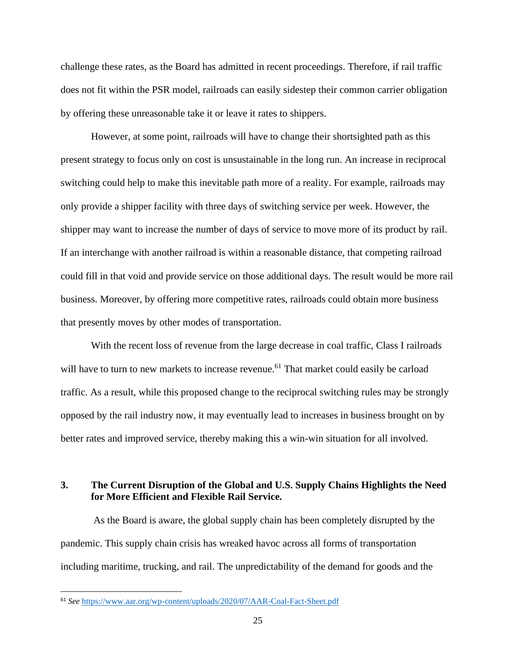challenge these rates, as the Board has admitted in recent proceedings. Therefore, if rail traffic does not fit within the PSR model, railroads can easily sidestep their common carrier obligation by offering these unreasonable take it or leave it rates to shippers.

However, at some point, railroads will have to change their shortsighted path as this present strategy to focus only on cost is unsustainable in the long run. An increase in reciprocal switching could help to make this inevitable path more of a reality. For example, railroads may only provide a shipper facility with three days of switching service per week. However, the shipper may want to increase the number of days of service to move more of its product by rail. If an interchange with another railroad is within a reasonable distance, that competing railroad could fill in that void and provide service on those additional days. The result would be more rail business. Moreover, by offering more competitive rates, railroads could obtain more business that presently moves by other modes of transportation.

With the recent loss of revenue from the large decrease in coal traffic, Class I railroads will have to turn to new markets to increase revenue.<sup>61</sup> That market could easily be carload traffic. As a result, while this proposed change to the reciprocal switching rules may be strongly opposed by the rail industry now, it may eventually lead to increases in business brought on by better rates and improved service, thereby making this a win-win situation for all involved.

# **3. The Current Disruption of the Global and U.S. Supply Chains Highlights the Need for More Efficient and Flexible Rail Service.**

As the Board is aware, the global supply chain has been completely disrupted by the pandemic. This supply chain crisis has wreaked havoc across all forms of transportation including maritime, trucking, and rail. The unpredictability of the demand for goods and the

<sup>61</sup> *See* <https://www.aar.org/wp-content/uploads/2020/07/AAR-Coal-Fact-Sheet.pdf>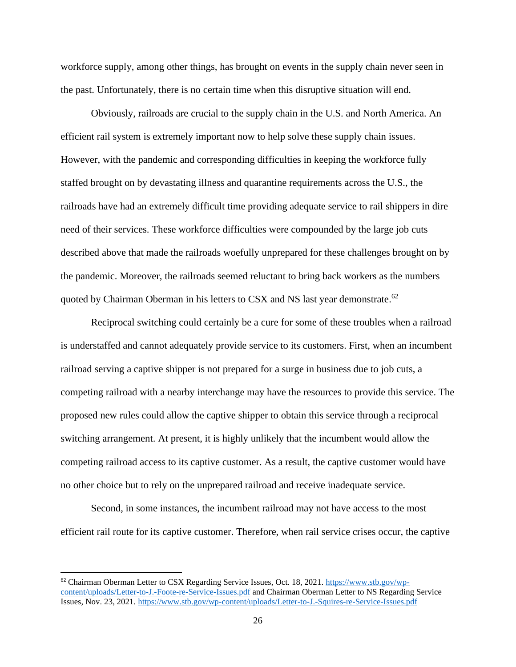workforce supply, among other things, has brought on events in the supply chain never seen in the past. Unfortunately, there is no certain time when this disruptive situation will end.

Obviously, railroads are crucial to the supply chain in the U.S. and North America. An efficient rail system is extremely important now to help solve these supply chain issues. However, with the pandemic and corresponding difficulties in keeping the workforce fully staffed brought on by devastating illness and quarantine requirements across the U.S., the railroads have had an extremely difficult time providing adequate service to rail shippers in dire need of their services. These workforce difficulties were compounded by the large job cuts described above that made the railroads woefully unprepared for these challenges brought on by the pandemic. Moreover, the railroads seemed reluctant to bring back workers as the numbers quoted by Chairman Oberman in his letters to CSX and NS last year demonstrate.<sup>62</sup>

Reciprocal switching could certainly be a cure for some of these troubles when a railroad is understaffed and cannot adequately provide service to its customers. First, when an incumbent railroad serving a captive shipper is not prepared for a surge in business due to job cuts, a competing railroad with a nearby interchange may have the resources to provide this service. The proposed new rules could allow the captive shipper to obtain this service through a reciprocal switching arrangement. At present, it is highly unlikely that the incumbent would allow the competing railroad access to its captive customer. As a result, the captive customer would have no other choice but to rely on the unprepared railroad and receive inadequate service.

Second, in some instances, the incumbent railroad may not have access to the most efficient rail route for its captive customer. Therefore, when rail service crises occur, the captive

<sup>&</sup>lt;sup>62</sup> Chairman Oberman Letter to CSX Regarding Service Issues, Oct. 18, 2021. [https://www.stb.gov/wp](https://www.stb.gov/wp-content/uploads/Letter-to-J.-Foote-re-Service-Issues.pdf)[content/uploads/Letter-to-J.-Foote-re-Service-Issues.pdf](https://www.stb.gov/wp-content/uploads/Letter-to-J.-Foote-re-Service-Issues.pdf) and Chairman Oberman Letter to NS Regarding Service Issues, Nov. 23, 2021[. https://www.stb.gov/wp-content/uploads/Letter-to-J.-Squires-re-Service-Issues.pdf](https://www.stb.gov/wp-content/uploads/Letter-to-J.-Squires-re-Service-Issues.pdf)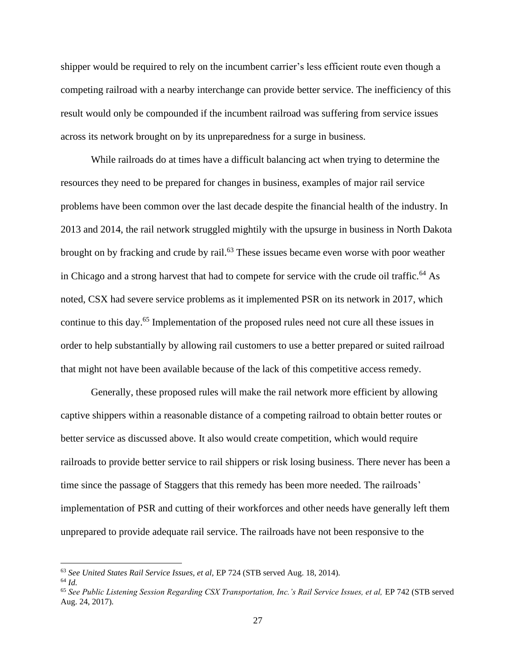shipper would be required to rely on the incumbent carrier's less efficient route even though a competing railroad with a nearby interchange can provide better service. The inefficiency of this result would only be compounded if the incumbent railroad was suffering from service issues across its network brought on by its unpreparedness for a surge in business.

While railroads do at times have a difficult balancing act when trying to determine the resources they need to be prepared for changes in business, examples of major rail service problems have been common over the last decade despite the financial health of the industry. In 2013 and 2014, the rail network struggled mightily with the upsurge in business in North Dakota brought on by fracking and crude by rail.<sup>63</sup> These issues became even worse with poor weather in Chicago and a strong harvest that had to compete for service with the crude oil traffic.<sup>64</sup> As noted, CSX had severe service problems as it implemented PSR on its network in 2017, which continue to this day.<sup>65</sup> Implementation of the proposed rules need not cure all these issues in order to help substantially by allowing rail customers to use a better prepared or suited railroad that might not have been available because of the lack of this competitive access remedy.

Generally, these proposed rules will make the rail network more efficient by allowing captive shippers within a reasonable distance of a competing railroad to obtain better routes or better service as discussed above. It also would create competition, which would require railroads to provide better service to rail shippers or risk losing business. There never has been a time since the passage of Staggers that this remedy has been more needed. The railroads' implementation of PSR and cutting of their workforces and other needs have generally left them unprepared to provide adequate rail service. The railroads have not been responsive to the

<sup>63</sup> *See United States Rail Service Issues, et al,* EP 724 (STB served Aug. 18, 2014).

<sup>64</sup> *Id.*

<sup>&</sup>lt;sup>65</sup> See Public Listening Session Regarding CSX Transportation, Inc.'s Rail Service Issues, et al, EP 742 (STB served Aug. 24, 2017).